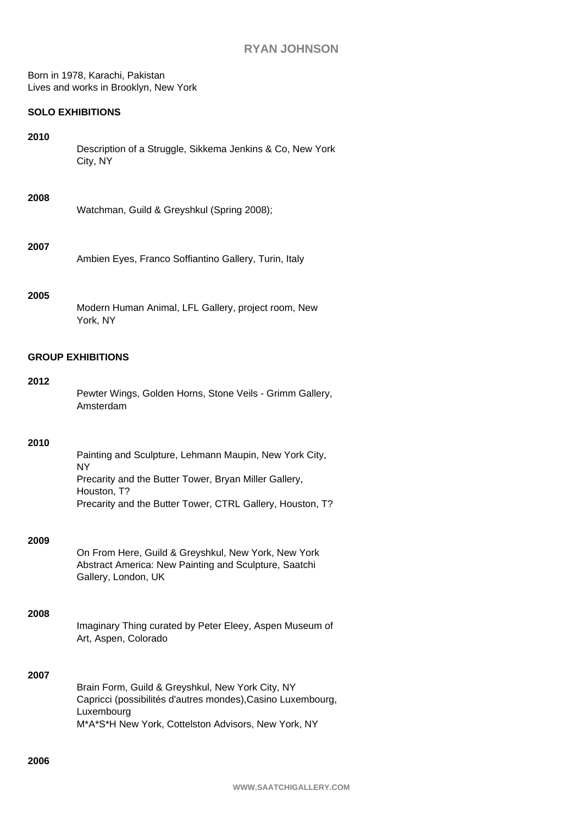Born in 1978, Karachi, Pakistan Lives and works in Brooklyn, New York

# **SOLO EXHIBITIONS**

## **2010**

Description of a Struggle, Sikkema Jenkins & Co, New York City, NY

## **2008**

Watchman, Guild & Greyshkul (Spring 2008);

## **2007**

Ambien Eyes, Franco Soffiantino Gallery, Turin, Italy

## **2005**

Modern Human Animal, LFL Gallery, project room, New York, NY

## **GROUP EXHIBITIONS**

### **2012**

Pewter Wings, Golden Horns, Stone Veils - Grimm Gallery, Amsterdam

#### **2010**

Painting and Sculpture, Lehmann Maupin, New York City, NY Precarity and the Butter Tower, Bryan Miller Gallery, Houston, T? Precarity and the Butter Tower, CTRL Gallery, Houston, T?

# **2009**

On From Here, Guild & Greyshkul, New York, New York Abstract America: New Painting and Sculpture, Saatchi Gallery, London, UK

#### **2008**

Imaginary Thing curated by Peter Eleey, Aspen Museum of Art, Aspen, Colorado

## **2007**

Brain Form, Guild & Greyshkul, New York City, NY Capricci (possibilités d'autres mondes),Casino Luxembourg, Luxembourg M\*A\*S\*H New York, Cottelston Advisors, New York, NY